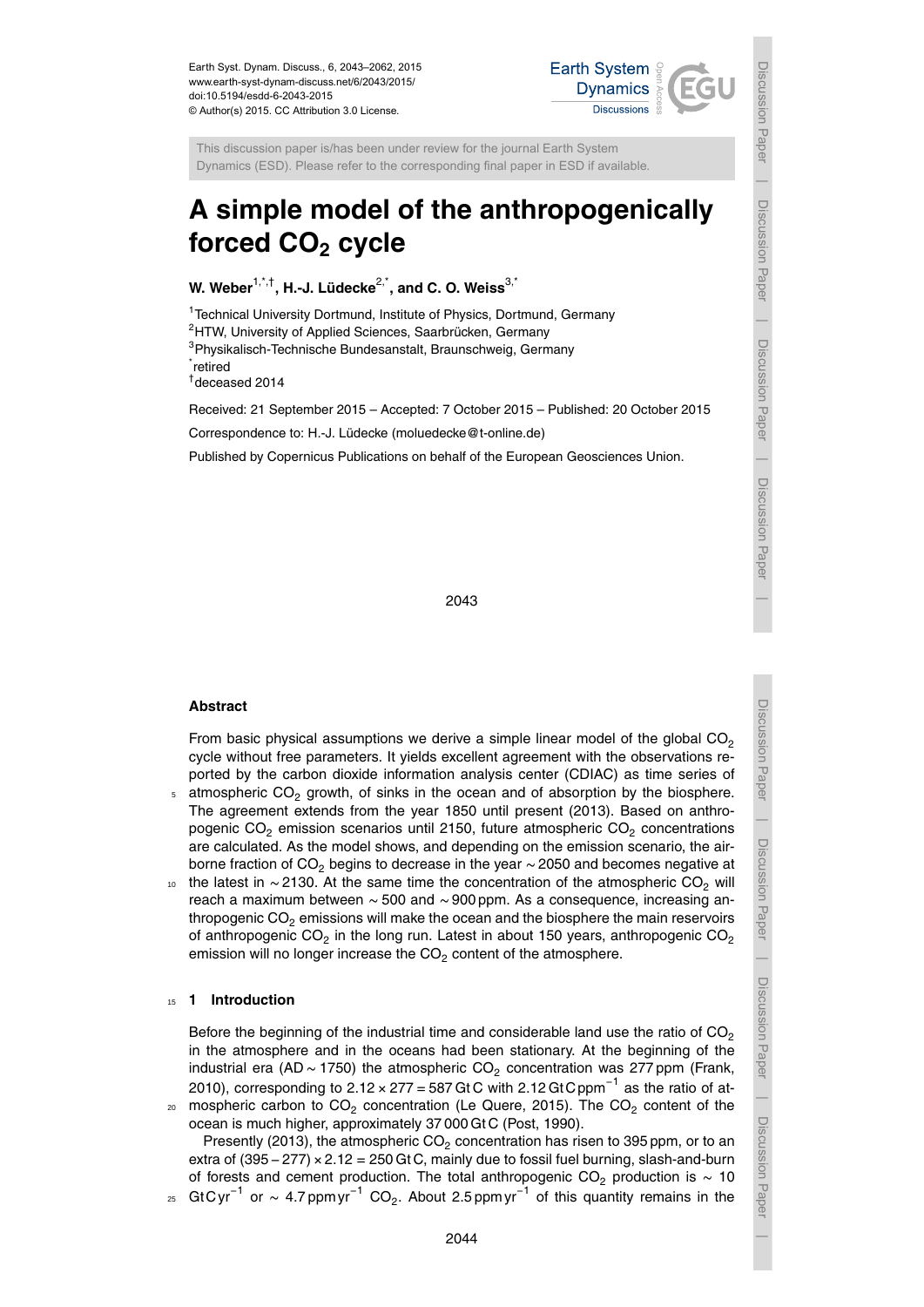Earth Syst. Dynam. Discuss., 6, 2043–2062, 2015 www.earth-syst-dynam-discuss.net/6/2043/2015/ doi:10.5194/esdd-6-2043-2015 © Author(s) 2015. CC Attribution 3.0 License.



This discussion paper is/has been under review for the journal Earth System Dynamics (ESD). Please refer to the corresponding final paper in ESD if available.

# **A simple model of the anthropogenically forced CO<sup>2</sup> cycle**

# **W. Weber**1,\*,† **, H.-J. Lüdecke**2,\* **, and C. O. Weiss**3,\*

<sup>1</sup> Technical University Dortmund, Institute of Physics, Dortmund, Germany

<sup>2</sup>HTW, University of Applied Sciences, Saarbrücken, Germany

<sup>3</sup>Physikalisch-Technische Bundesanstalt, Braunschweig, Germany

\* retired

† deceased 2014

Received: 21 September 2015 – Accepted: 7 October 2015 – Published: 20 October 2015

Correspondence to: H.-J. Lüdecke (moluedecke@t-online.de)

Published by Copernicus Publications on behalf of the European Geosciences Union.

Discussion Paper

Discussion Paper

 $\overline{\phantom{a}}$ 

Discussion Paper

 $\overline{\phantom{a}}$ 

Discussion Paper

 $\overline{\phantom{a}}$ 

2043

# **Abstract**

From basic physical assumptions we derive a simple linear model of the global  $CO<sub>2</sub>$ cycle without free parameters. It yields excellent agreement with the observations reported by the carbon dioxide information analysis center (CDIAC) as time series of atmospheric  $CO<sub>2</sub>$  growth, of sinks in the ocean and of absorption by the biosphere.

- The agreement extends from the year 1850 until present (2013). Based on anthropogenic  $CO<sub>2</sub>$  emission scenarios until 2150, future atmospheric  $CO<sub>2</sub>$  concentrations are calculated. As the model shows, and depending on the emission scenario, the airborne fraction of CO<sub>2</sub> begins to decrease in the year ∼ 2050 and becomes negative at
- $10<sub>10</sub>$  the latest in ∼ 2130. At the same time the concentration of the atmospheric CO<sub>2</sub> will reach a maximum between ∼ 500 and ∼ 900 ppm. As a consequence, increasing anthropogenic  $CO<sub>2</sub>$  emissions will make the ocean and the biosphere the main reservoirs of anthropogenic CO<sub>2</sub> in the long run. Latest in about 150 years, anthropogenic CO<sub>2</sub> emission will no longer increase the  $CO<sub>2</sub>$  content of the atmosphere.

#### <sup>15</sup> **1 Introduction**

Before the beginning of the industrial time and considerable land use the ratio of  $CO<sub>2</sub>$ in the atmosphere and in the oceans had been stationary. At the beginning of the industrial era (AD ~ 1750) the atmospheric CO<sub>2</sub> concentration was 277 ppm (Frank, 2010), corresponding to 2.12 × 277 = 587 Gt C with 2.12 Gt C ppm<sup>-1</sup> as the ratio of at-

 $_{20}$  mospheric carbon to CO<sub>2</sub> concentration (Le Quere, 2015). The CO<sub>2</sub> content of the ocean is much higher, approximately 37 000 Gt C (Post, 1990).

Presently (2013), the atmospheric  $CO<sub>2</sub>$  concentration has risen to 395 ppm, or to an extra of (395−277)×2.12 = 250 Gt C, mainly due to fossil fuel burning, slash-and-burn of forests and cement production. The total anthropogenic CO<sub>2</sub> production is ~ 10

25 GtCyr<sup>-1</sup> or ~ 4.7 ppmyr<sup>-1</sup> CO<sub>2</sub>. About 2.5 ppmyr<sup>-1</sup> of this quantity remains in the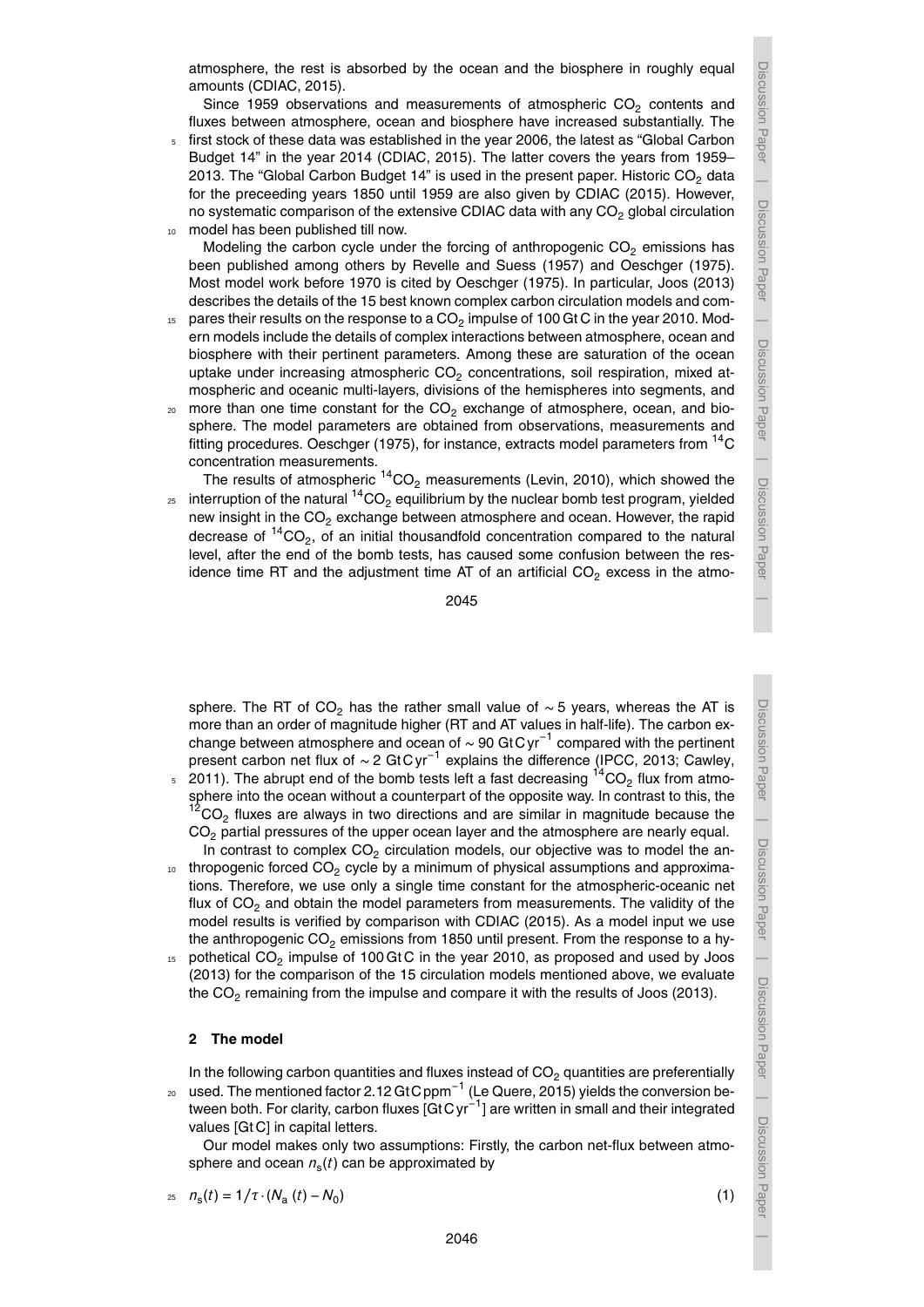Discussion Paper

 $\overline{\phantom{a}}$ 

Discussion Paper

 $\overline{\phantom{a}}$ 

Discussion Paper

 $\overline{\phantom{a}}$ 

Discussion Paper

 $\overline{\phantom{a}}$ 

atmosphere, the rest is absorbed by the ocean and the biosphere in roughly equal amounts (CDIAC, 2015).

Since 1959 observations and measurements of atmospheric  $CO<sub>2</sub>$  contents and fluxes between atmosphere, ocean and biosphere have increased substantially. The

<sup>5</sup> first stock of these data was established in the year 2006, the latest as "Global Carbon Budget 14" in the year 2014 (CDIAC, 2015). The latter covers the years from 1959– 2013. The "Global Carbon Budget 14" is used in the present paper. Historic  $CO<sub>2</sub>$  data for the preceeding years 1850 until 1959 are also given by CDIAC (2015). However, no systematic comparison of the extensive CDIAC data with any  $CO<sub>2</sub>$  global circulation <sup>10</sup> model has been published till now.

Modeling the carbon cycle under the forcing of anthropogenic  $CO<sub>2</sub>$  emissions has been published among others by Revelle and Suess (1957) and Oeschger (1975). Most model work before 1970 is cited by Oeschger (1975). In particular, Joos (2013) describes the details of the 15 best known complex carbon circulation models and com-

- $_{15}$  pares their results on the response to a CO $_{2}$  impulse of 100 Gt C in the year 2010. Modern models include the details of complex interactions between atmosphere, ocean and biosphere with their pertinent parameters. Among these are saturation of the ocean uptake under increasing atmospheric  $CO<sub>2</sub>$  concentrations, soil respiration, mixed atmospheric and oceanic multi-layers, divisions of the hemispheres into segments, and
- $20$  more than one time constant for the CO<sub>2</sub> exchange of atmosphere, ocean, and biosphere. The model parameters are obtained from observations, measurements and fitting procedures. Oeschger (1975), for instance, extracts model parameters from  ${}^{14}C$ concentration measurements.

The results of atmospheric  $14CO<sub>2</sub>$  measurements (Levin, 2010), which showed the  $_{\rm zs}$  interruption of the natural  $\rm ^{14}CO_{2}$  equilibrium by the nuclear bomb test program, yielded new insight in the  $CO<sub>2</sub>$  exchange between atmosphere and ocean. However, the rapid decrease of  ${}^{14}CO_2$ , of an initial thousandfold concentration compared to the natural level, after the end of the bomb tests, has caused some confusion between the residence time RT and the adjustment time AT of an artificial  $CO<sub>2</sub>$  excess in the atmo-

2045

sphere. The RT of CO<sub>2</sub> has the rather small value of  $\sim$  5 years, whereas the AT is more than an order of magnitude higher (RT and AT values in half-life). The carbon exchange between atmosphere and ocean of  $\sim$  90 GtCyr<sup>-1</sup> compared with the pertinent present carbon net flux of ~ 2 GtCyr<sup>-1</sup> explains the difference (IPCC, 2013; Cawley,

- $\frac{1}{2}$  2011). The abrupt end of the bomb tests left a fast decreasing  $\frac{14}{12}CO_2$  flux from atmosphere into the ocean without a counterpart of the opposite way. In contrast to this, the  $12$ CO<sub>2</sub> fluxes are always in two directions and are similar in magnitude because the  $CO<sub>2</sub>$  partial pressures of the upper ocean layer and the atmosphere are nearly equal. In contrast to complex  $CO<sub>2</sub>$  circulation models, our objective was to model the an-
- $10$  thropogenic forced CO<sub>2</sub> cycle by a minimum of physical assumptions and approximations. Therefore, we use only a single time constant for the atmospheric-oceanic net flux of  $CO<sub>2</sub>$  and obtain the model parameters from measurements. The validity of the model results is verified by comparison with CDIAC (2015). As a model input we use the anthropogenic  $CO<sub>2</sub>$  emissions from 1850 until present. From the response to a hy-
- $15$  pothetical CO<sub>2</sub> impulse of 100 GtC in the year 2010, as proposed and used by Joos (2013) for the comparison of the 15 circulation models mentioned above, we evaluate the CO<sub>2</sub> remaining from the impulse and compare it with the results of Joos (2013).

#### **2 The model**

In the following carbon quantities and fluxes instead of  $CO<sub>2</sub>$  quantities are preferentially  $_{\rm 20}$  used. The mentioned factor 2.12 GtCppm $^{-1}$  (Le Quere, 2015) yields the conversion between both. For clarity, carbon fluxes [GtCyr<sup>−1</sup>] are written in small and their integrated

values [Gt C] in capital letters.

Our model makes only two assumptions: Firstly, the carbon net-flux between atmosphere and ocean *n*<sup>s</sup> (*t*) can be approximated by

$$
P_{\rm s} = 1/\tau \cdot (N_{\rm a} \left( t \right) - N_0) \tag{1}
$$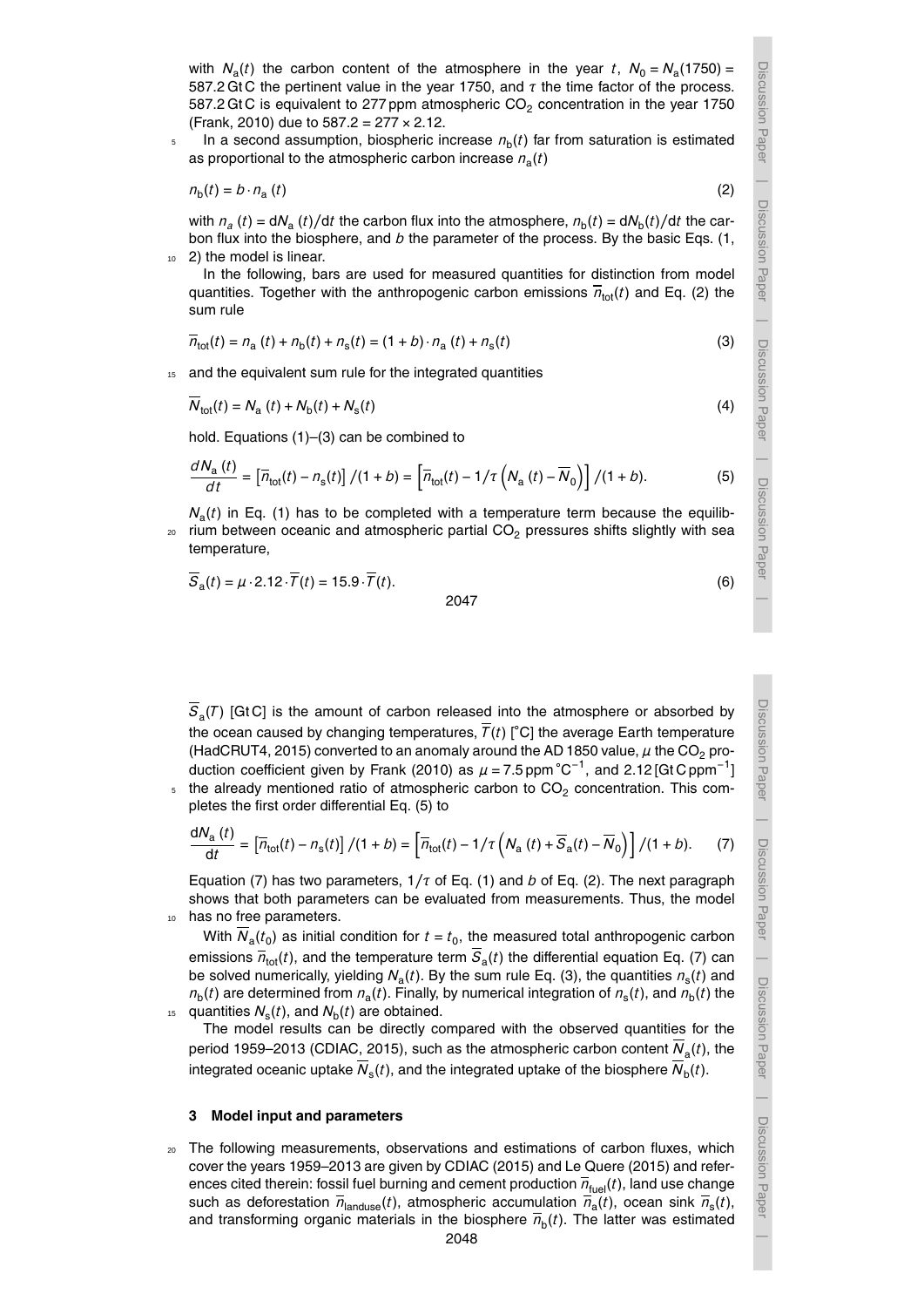with  $N_a(t)$  the carbon content of the atmosphere in the year *t*,  $N_0 = N_a(1750) =$ 587.2 Gt C the pertinent value in the year 1750, and *τ* the time factor of the process. 587.2 Gt C is equivalent to 277 ppm atmospheric  $CO<sub>2</sub>$  concentration in the year 1750 (Frank, 2010) due to 587.2 = 277 × 2.12.

 $1$  In a second assumption, biospheric increase  $n_{\rm b}(t)$  far from saturation is estimated as proportional to the atmospheric carbon increase  $n_{\rm a}(t)$ 

$$
n_{\rm b}(t) = b \cdot n_{\rm a}(t) \tag{2}
$$

with  $n_a$  (*t*) = d $N_a$  (*t*)/d*t* the carbon flux into the atmosphere,  $n_b(t)$  = d $N_b(t)/dt$  the carbon flux into the biosphere, and *b* the parameter of the process. By the basic Eqs. (1, <sup>10</sup> 2) the model is linear.

In the following, bars are used for measured quantities for distinction from model quantities. Together with the anthropogenic carbon emissions  $\overline{n}_{tot}(t)$  and Eq. (2) the sum rule

$$
\overline{n}_{\text{tot}}(t) = n_{\text{a}}(t) + n_{\text{b}}(t) + n_{\text{s}}(t) = (1 + b) \cdot n_{\text{a}}(t) + n_{\text{s}}(t)
$$
\n(3)

and the equivalent sum rule for the integrated quantities

$$
N_{\text{tot}}(t) = N_{\text{a}}(t) + N_{\text{b}}(t) + N_{\text{s}}(t) \tag{4}
$$

hold. Equations (1)–(3) can be combined to

$$
\frac{dN_{\rm a}(t)}{dt} = \left[\overline{n}_{\rm tot}(t) - n_{\rm s}(t)\right]/(1+b) = \left[\overline{n}_{\rm tot}(t) - 1/\tau \left(N_{\rm a}(t) - \overline{N}_0\right)\right]/(1+b). \tag{5}
$$

*N*<sup>a</sup> (*t*) in Eq. (1) has to be completed with a temperature term because the equilib- $20$  rium between oceanic and atmospheric partial CO<sub>2</sub> pressures shifts slightly with sea temperature,

$$
\overline{S}_{\mathbf{a}}(t) = \mu \cdot 2.12 \cdot \overline{T}(t) = 15.9 \cdot \overline{T}(t). \tag{6}
$$

*S*<sup>a</sup> (*T* ) [Gt C] is the amount of carbon released into the atmosphere or absorbed by the ocean caused by changing temperatures,  $\overline{T}(t)$  [ $\degree$ C] the average Earth temperature (HadCRUT4, 2015) converted to an anomaly around the AD 1850 value,  $\mu$  the CO<sub>2</sub> production coefficient given by Frank (2010) as  $\mu$  = 7.5 ppm  $^{\circ}$ C<sup>-1</sup>, and 2.12 [Gt C ppm<sup>-1</sup>] the already mentioned ratio of atmospheric carbon to  $CO<sub>2</sub>$  concentration. This com-

pletes the first order differential Eq. (5) to

$$
\frac{dN_a(t)}{dt} = \left[\overline{n}_{\text{tot}}(t) - n_{\text{s}}(t)\right] / (1 + b) = \left[\overline{n}_{\text{tot}}(t) - 1/\tau \left(N_a(t) + \overline{S}_a(t) - \overline{N}_0\right)\right] / (1 + b). \tag{7}
$$

Equation (7) has two parameters, 1*/τ* of Eq. (1) and *b* of Eq. (2). The next paragraph shows that both parameters can be evaluated from measurements. Thus, the model <sup>10</sup> has no free parameters.

With  $N_a(t_0)$  as initial condition for  $t=t_0$ , the measured total anthropogenic carbon emissions  $\overline{n}_{\text{tot}}(t)$ , and the temperature term  $s_{\text{a}}(t)$  the differential equation Eq. (7) can be solved numerically, yielding *N*<sup>a</sup> (*t*). By the sum rule Eq. (3), the quantities *n*<sup>s</sup> (*t*) and  $n_{\rm b}(t)$  are determined from  $n_{\rm a}(t)$ . Finally, by numerical integration of  $n_{\rm s}(t)$ , and  $n_{\rm b}(t)$  the <sup>15</sup> quantities  $N_{\rm s}(t)$ , and  $N_{\rm b}(t)$  are obtained.

The model results can be directly compared with the observed quantities for the period 1959–2013 (CDIAC, 2015), such as the atmospheric carbon content *N*<sup>a</sup> (*t*), the integrated oceanic uptake  $N_{\rm s}(t)$ , and the integrated uptake of the biosphere  $N_{\rm b}(t)$ .

#### **3 Model input and parameters**

<sup>20</sup> The following measurements, observations and estimations of carbon fluxes, which cover the years 1959–2013 are given by CDIAC (2015) and Le Quere (2015) and references cited therein: fossil fuel burning and cement production  $\overline{n}_{\text{final}}(t)$ , land use change such as deforestation  $\overline{n}_{\rm landscape}(t)$ , atmospheric accumulation  $\overline{n}_{\rm a}(t)$ , ocean sink  $\overline{n}_{\rm s}(t)$ , and transforming organic materials in the biosphere  $\overline{n}_{\text{b}}(t)$ . The latter was estimated

Discussion Paper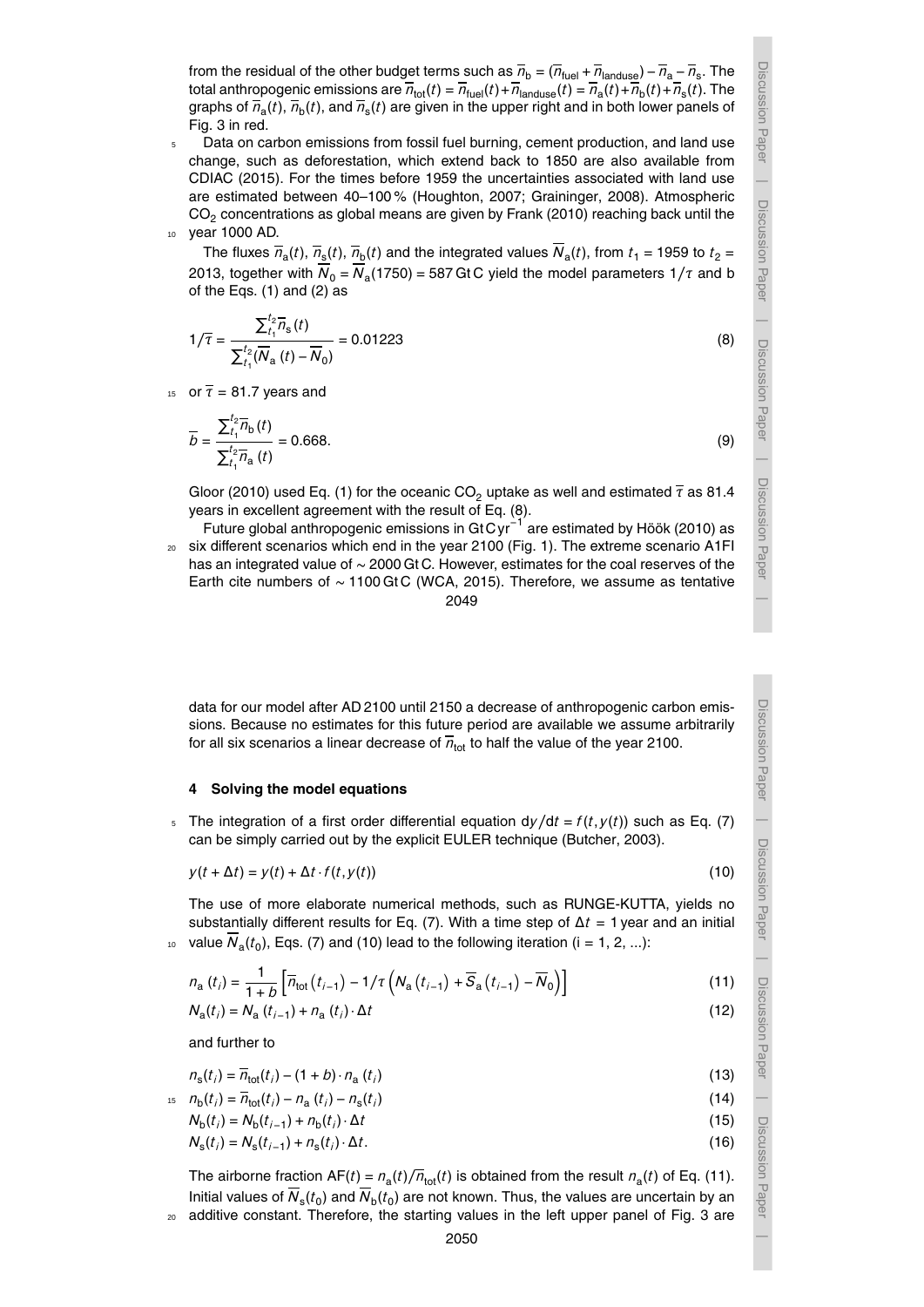from the residual of the other budget terms\_such as  $\overline{\eta}_b$  = ( $\overline{\eta}_{\text{fuel}}$  +  $\overline{\eta}_{\text{landuse}}$ ) −  $\overline{\eta}_a$  –  $\overline{\eta}_s$ . The  $\tau$  *t*otal anthropogenic emissions are  $\overline{n}_{\text{tot}}(t) = \overline{n}_{\text{fuel}}(t) + \overline{n}_{\text{landuse}}(t) = \overline{n}_{\text{a}}(t) + \overline{n}_{\text{b}}(t) + \overline{n}_{\text{s}}(t)$ . The graphs of  $\overline{n}_{\rm a}(t),$   $\overline{n}_{\rm b}(t),$  and  $\overline{n}_{\rm s}(t)$  are given in the upper right and in both lower panels of Fig. 3 in red.

Data on carbon emissions from fossil fuel burning, cement production, and land use change, such as deforestation, which extend back to 1850 are also available from CDIAC (2015). For the times before 1959 the uncertainties associated with land use are estimated between 40–100 % (Houghton, 2007; Graininger, 2008). Atmospheric  $CO<sub>2</sub>$  concentrations as global means are given by Frank (2010) reaching back until the <sup>10</sup> year 1000 AD.

The fluxes  $\overline{n}_{\rm a}(t)$ ,  $\overline{n}_{\rm s}(t)$ ,  $\overline{n}_{\rm b}(t)$  and the integrated values  $N_{\rm a}(t)$ , from  $t_1$  = 1959 to  $t_2$  = 2013, together with  $N_0 = N_a$ (1750) = 587 Gt C yield the model parameters 1/ $\tau$  and b of the Eqs. (1) and (2) as

$$
1/\overline{\tau} = \frac{\sum_{t_1}^{t_2} \overline{n}_{\text{s}}(t)}{\sum_{t_1}^{t_2} (\overline{N}_{\text{a}}(t) - \overline{N}_0)} = 0.01223
$$
 (8)

15 or  $\bar{\tau}$  = 81.7 years and

$$
\overline{b} = \frac{\sum_{t_1}^{t_2} \overline{n}_{\text{b}}(t)}{\sum_{t_1}^{t_2} \overline{n}_{\text{a}}(t)} = 0.668. \tag{9}
$$

Gloor (2010) used Eq. (1) for the oceanic CO<sub>2</sub> uptake as well and estimated  $\bar{\tau}$  as 81.4 years in excellent agreement with the result of Eq. (8).

Future global anthropogenic emissions in GtCyr<sup>−1</sup> are estimated by Höök (2010) as <sup>20</sup> six different scenarios which end in the year 2100 (Fig. 1). The extreme scenario A1FI has an integrated value of ∼ 2000 Gt C. However, estimates for the coal reserves of the Earth cite numbers of ∼ 1100 Gt C (WCA, 2015). Therefore, we assume as tentative 2049

data for our model after AD 2100 until 2150 a decrease of anthropogenic carbon emissions. Because no estimates for this future period are available we assume arbitrarily for all six scenarios a linear decrease of  $\overline{n}_{\text{tot}}$  to half the value of the year 2100.

### **4 Solving the model equations**

5 The integration of a first order differential equation  $dy/dt = f(t, y(t))$  such as Eq. (7) can be simply carried out by the explicit EULER technique (Butcher, 2003).

$$
y(t + \Delta t) = y(t) + \Delta t \cdot f(t, y(t))
$$
\n(10)

The use of more elaborate numerical methods, such as RUNGE-KUTTA, yields no substantially different results for Eq. (7). With a time step of ∆*t* = 1 year and an initial  $v_0$  value  $N_a(t_0)$ , Eqs. (7) and (10) lead to the following iteration (i = 1, 2, ...):

$$
n_{\rm a} \left( t_i \right) = \frac{1}{1+b} \left[ \overline{n}_{\rm tot} \left( t_{i-1} \right) - \frac{1}{\tau} \left( N_{\rm a} \left( t_{i-1} \right) + \overline{S}_{\rm a} \left( t_{i-1} \right) - \overline{N}_0 \right) \right]
$$
\n
$$
N_{\rm a}(t_i) = N_{\rm a} \left( t_{i-1} \right) + n_{\rm a} \left( t_i \right) \cdot \Delta t \tag{12}
$$

and further to

$$
n_{\rm s}(t_i) = \overline{n}_{\rm tot}(t_i) - (1+b) \cdot n_{\rm a}(t_i) \tag{13}
$$

$$
n_{\rm b}(t_i) = \overline{n}_{\rm tot}(t_i) - n_{\rm a}(t_i) - n_{\rm s}(t_i) \tag{14}
$$

$$
N_{\rm b}(t_i) = N_{\rm b}(t_{i-1}) + n_{\rm b}(t_i) \cdot \Delta t \tag{15}
$$

$$
N_{\rm s}(t_i) = N_{\rm s}(t_{i-1}) + n_{\rm s}(t_i) \cdot \Delta t. \tag{16}
$$

The airborne fraction  $AF(t) = n_a(t)/\overline{n}_{tot}(t)$  is obtained from the result  $n_a(t)$  of Eq. (11). Initial values of  $N_s(t_0)$  and  $N_b(t_0)$  are not known. Thus, the values are uncertain by an <sup>20</sup> additive constant. Therefore, the starting values in the left upper panel of Fig. 3 are  $\overline{\phantom{a}}$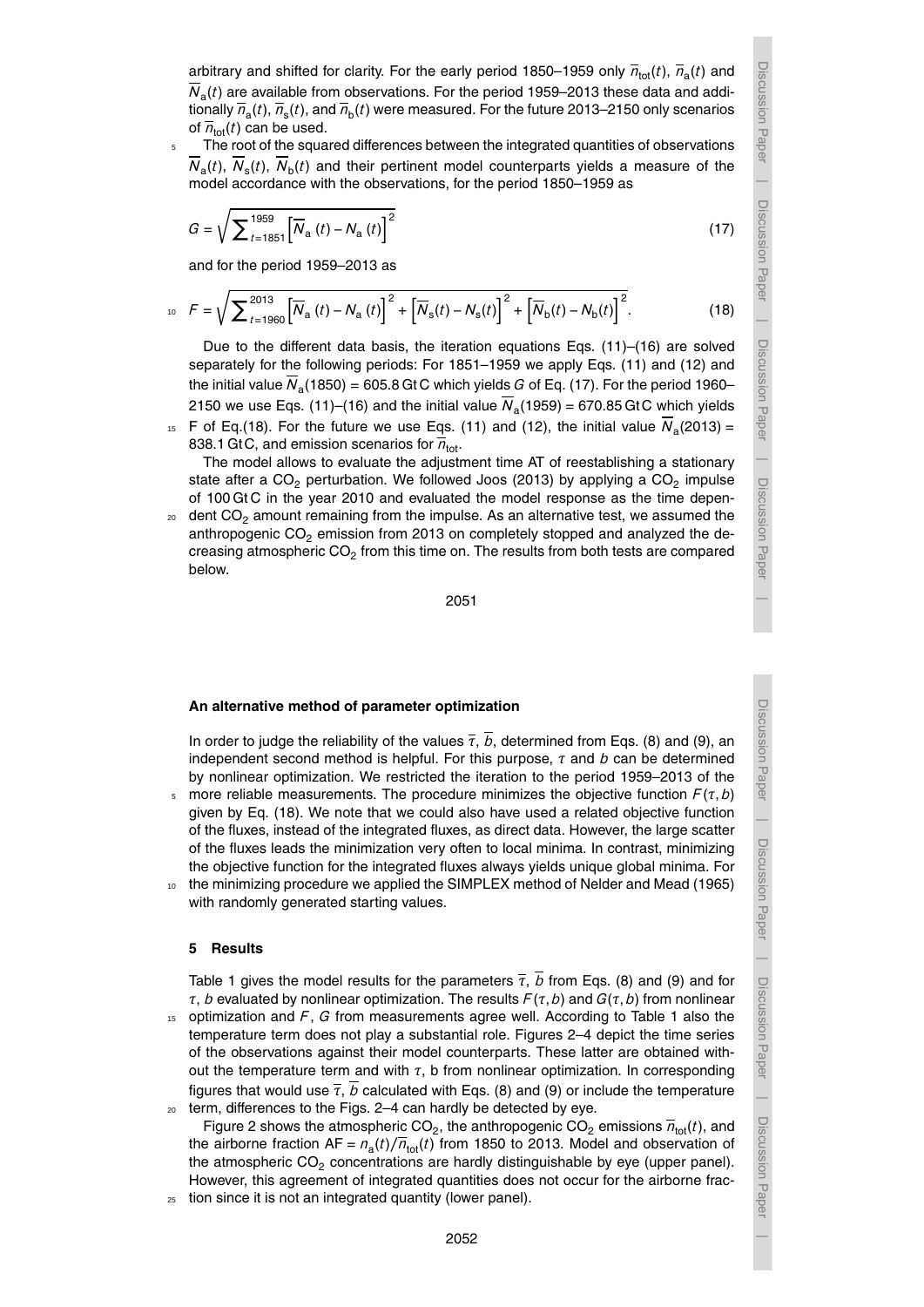Discussion Paper

 $\overline{\phantom{a}}$ 

Discussion Paper

 $\overline{\phantom{a}}$ 

Discussion Paper

 $\overline{\phantom{a}}$ 

Discussion Paper

 $\overline{\phantom{a}}$ 

arbitrary and shifted for clarity. For the early period 1850–1959 only  $\overline{n}_{\text{tot}}(t)$ ,  $\overline{n}_{\text{a}}(t)$  and *N*<sup>a</sup> (*t*) are available from observations. For the period 1959–2013 these data and additionally  $\overline{n}_{\rm a}(t), \overline{n}_{\rm s}(t)$ , and  $\overline{n}_{\rm b}(t)$  were measured. For the future 2013–2150 only scenarios of  $\overline{n}_{\text{tot}}(t)$  can be used.

The root of the squared differences between the integrated quantities of observations  $N_a(t)$ ,  $N_s(t)$ ,  $N_b(t)$  and their pertinent model counterparts yields a measure of the model accordance with the observations, for the period 1850–1959 as

$$
G = \sqrt{\sum_{t=1851}^{1959} [\overline{N}_{\text{a}} (t) - N_{\text{a}} (t)]^2}
$$
 (17)

and for the period 1959–2013 as

$$
I_0 \quad F = \sqrt{\sum_{t=1960}^{2013} \left[ \overline{N}_{\rm a} \left( t \right) - N_{\rm a} \left( t \right) \right]^2 + \left[ \overline{N}_{\rm s}(t) - N_{\rm s}(t) \right]^2 + \left[ \overline{N}_{\rm b}(t) - N_{\rm b}(t) \right]^2}.
$$
 (18)

Due to the different data basis, the iteration equations Eqs. (11)–(16) are solved separately for the following periods: For 1851–1959 we apply Eqs. (11) and (12) and the initial value  $N_{\rm a}(1850)$  = 605.8 Gt C which yields  $G$  of Eq. (17). For the period 1960– 2150 we use Eqs. (11)–(16) and the initial value  $N_a(1959)$  = 670.85 GtC which yields  $\frac{1}{15}$  F of Eq.(18). For the future we use Eqs. (11) and (12), the initial value  $N_a(2013)$  =

838.1 GtC, and emission scenarios for  $\overline{n}_{\text{tot}}$ .

The model allows to evaluate the adjustment time AT of reestablishing a stationary state after a CO<sub>2</sub> perturbation. We followed Joos (2013) by applying a CO<sub>2</sub> impulse of 100 Gt C in the year 2010 and evaluated the model response as the time depen-

dent  $CO<sub>2</sub>$  amount remaining from the impulse. As an alternative test, we assumed the anthropogenic  $CO<sub>2</sub>$  emission from 2013 on completely stopped and analyzed the decreasing atmospheric CO<sub>2</sub> from this time on. The results from both tests are compared below.

2051

# **An alternative method of parameter optimization**

In order to judge the reliability of the values *τ*, *b*, determined from Eqs. (8) and (9), an independent second method is helpful. For this purpose, *τ* and *b* can be determined by nonlinear optimization. We restricted the iteration to the period 1959–2013 of the 5 more reliable measurements. The procedure minimizes the objective function  $F(\tau, b)$ 

given by Eq. (18). We note that we could also have used a related objective function of the fluxes, instead of the integrated fluxes, as direct data. However, the large scatter of the fluxes leads the minimization very often to local minima. In contrast, minimizing the objective function for the integrated fluxes always yields unique global minima. For 10 the minimizing procedure we applied the SIMPLEX method of Nelder and Mead (1965)

with randomly generated starting values.

#### **5 Results**

Table 1 gives the model results for the parameters *τ*, *b* from Eqs. (8) and (9) and for *τ*, *b* evaluated by nonlinear optimization. The results *F* (*τ*,*b*) and *G*(*τ*,*b*) from nonlinear <sup>15</sup> optimization and *F* , *G* from measurements agree well. According to Table 1 also the

temperature term does not play a substantial role. Figures 2–4 depict the time series of the observations against their model counterparts. These latter are obtained without the temperature term and with *τ*, b from nonlinear optimization. In corresponding figures that would use  $\bar{\tau}$ , *b* calculated with Eqs. (8) and (9) or include the temperature <sup>20</sup> term, differences to the Figs. 2–4 can hardly be detected by eye.

Figure 2 shows the atmospheric CO<sub>2</sub>, the anthropogenic CO<sub>2</sub> emissions  $\overline{n}_{\text{tot}}(t)$ , and the airborne fraction  $AF = n_a(t)/\overline{n}_{\text{tot}}(t)$  from 1850 to 2013. Model and observation of the atmospheric  $CO<sub>2</sub>$  concentrations are hardly distinguishable by eye (upper panel). However, this agreement of integrated quantities does not occur for the airborne frac-

tion since it is not an integrated quantity (lower panel).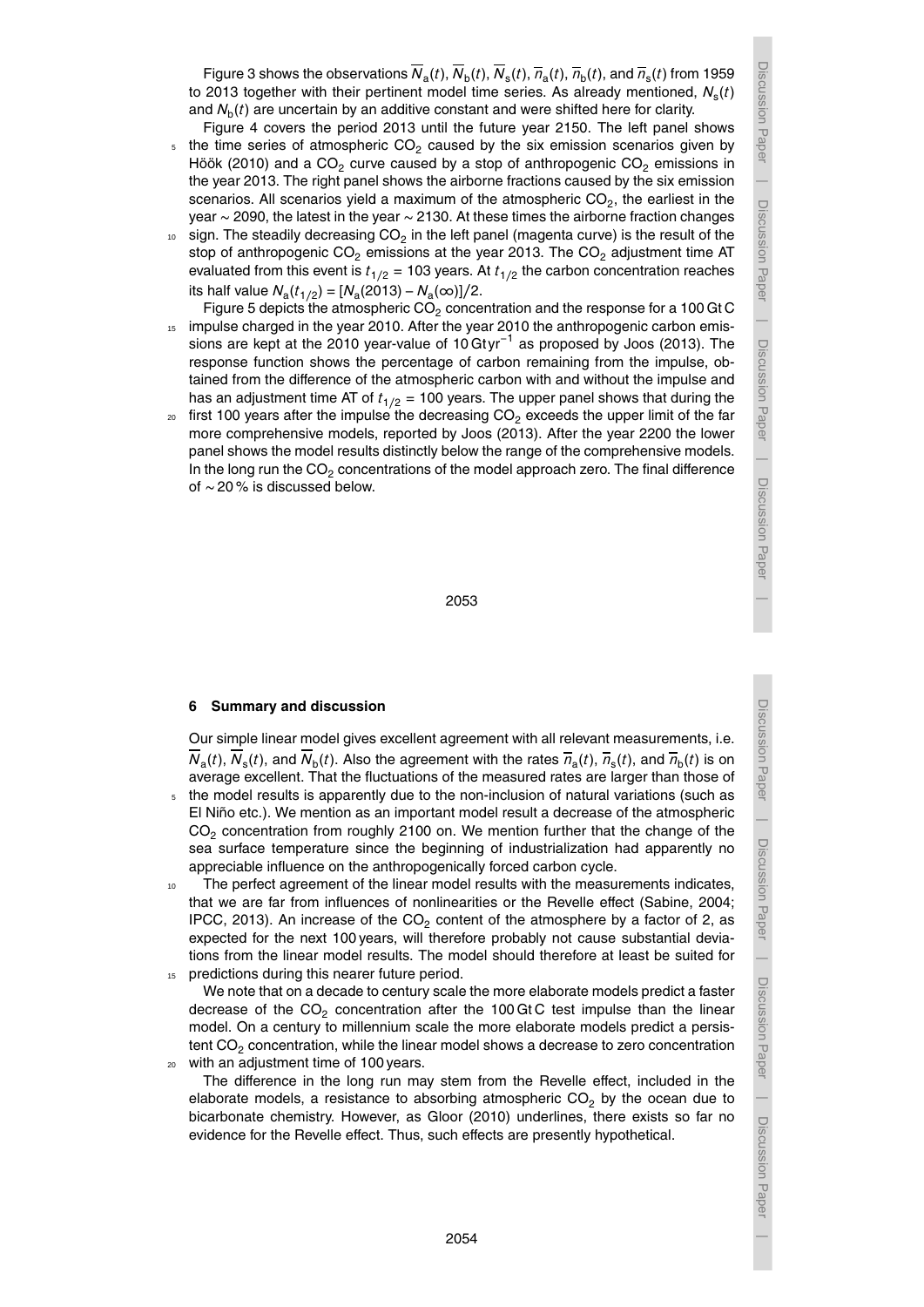Discussion Paper $\overline{\phantom{a}}$  Discussion Paper $\overline{\phantom{a}}$  Discussion Paper|<br>|<br>|<br>|

Discussion Paper

 $\overline{\phantom{a}}$ 

Discussion Paper

Discussion Paper | Discussion Paper

Discussion Paper

 $\overline{\phantom{a}}$ 

Discussion Paper

 $\overline{\phantom{a}}$ 

Figure 3 shows the observations  $N_a(t)$ ,  $N_b(t)$ ,  $N_s(t)$ ,  $\overline{n}_a(t)$ ,  $\overline{n}_b(t)$ , and  $\overline{n}_s(t)$  from 1959 to 2013 together with their pertinent model time series. As already mentioned,  $N_{\rm s}(t)$ and  $N_{\rm b}(t)$  are uncertain by an additive constant and were shifted here for clarity.

Figure 4 covers the period 2013 until the future year 2150. The left panel shows

- the time series of atmospheric  $CO<sub>2</sub>$  caused by the six emission scenarios given by Höök (2010) and a CO<sub>2</sub> curve caused by a stop of anthropogenic CO<sub>2</sub> emissions in the year 2013. The right panel shows the airborne fractions caused by the six emission scenarios. All scenarios yield a maximum of the atmospheric CO<sub>2</sub>, the earliest in the year ∼ 2090, the latest in the year ∼ 2130. At these times the airborne fraction changes
- $10^{\circ}$  sign. The steadily decreasing CO<sub>2</sub> in the left panel (magenta curve) is the result of the stop of anthropogenic  $CO<sub>2</sub>$  emissions at the year 2013. The  $CO<sub>2</sub>$  adjustment time AT evaluated from this event is  $t_{1/2}$  = 103 years. At  $t_{1/2}$  the carbon concentration reaches  $\text{its half value } N_{\text{a}}(t_{1/2}) = [N_{\text{a}}(2013) - N_{\text{a}}(\infty)]/2.$
- Figure 5 depicts the atmospheric  $CO<sub>2</sub>$  concentration and the response for a 100 Gt C 15 impulse charged in the year 2010. After the year 2010 the anthropogenic carbon emissions are kept at the 2010 year-value of 10 Gtyr<sup>-1</sup> as proposed by Joos (2013). The response function shows the percentage of carbon remaining from the impulse, obtained from the difference of the atmospheric carbon with and without the impulse and has an adjustment time AT of  $t_{1/2}$  = 100 years. The upper panel shows that during the
- $20$  first 100 years after the impulse the decreasing CO<sub>2</sub> exceeds the upper limit of the far more comprehensive models, reported by Joos (2013). After the year 2200 the lower panel shows the model results distinctly below the range of the comprehensive models. In the long run the  $CO<sub>2</sub>$  concentrations of the model approach zero. The final difference of ∼ 20 % is discussed below.

2053

#### **6 Summary and discussion**

Our simple linear model gives excellent agreement with all relevant measurements, i.e.  $N_a(t)$ ,  $N_s(t)$ , and  $N_b(t)$ . Also the agreement with the rates  $\overline{n}_a(t)$ ,  $\overline{n}_s(t)$ , and  $\overline{n}_b(t)$  is on average excellent. That the fluctuations of the measured rates are larger than those of

- <sup>5</sup> the model results is apparently due to the non-inclusion of natural variations (such as El Niño etc.). We mention as an important model result a decrease of the atmospheric  $CO<sub>2</sub>$  concentration from roughly 2100 on. We mention further that the change of the sea surface temperature since the beginning of industrialization had apparently no appreciable influence on the anthropogenically forced carbon cycle.
- <sup>10</sup> The perfect agreement of the linear model results with the measurements indicates, that we are far from influences of nonlinearities or the Revelle effect (Sabine, 2004; IPCC, 2013). An increase of the  $CO<sub>2</sub>$  content of the atmosphere by a factor of 2, as expected for the next 100 years, will therefore probably not cause substantial deviations from the linear model results. The model should therefore at least be suited for 15 predictions during this nearer future period.
- We note that on a decade to century scale the more elaborate models predict a faster decrease of the  $CO<sub>2</sub>$  concentration after the 100 Gt C test impulse than the linear model. On a century to millennium scale the more elaborate models predict a persistent CO<sub>2</sub> concentration, while the linear model shows a decrease to zero concentration <sup>20</sup> with an adjustment time of 100 years.
	- The difference in the long run may stem from the Revelle effect, included in the elaborate models, a resistance to absorbing atmospheric  $CO<sub>2</sub>$  by the ocean due to bicarbonate chemistry. However, as Gloor (2010) underlines, there exists so far no evidence for the Revelle effect. Thus, such effects are presently hypothetical.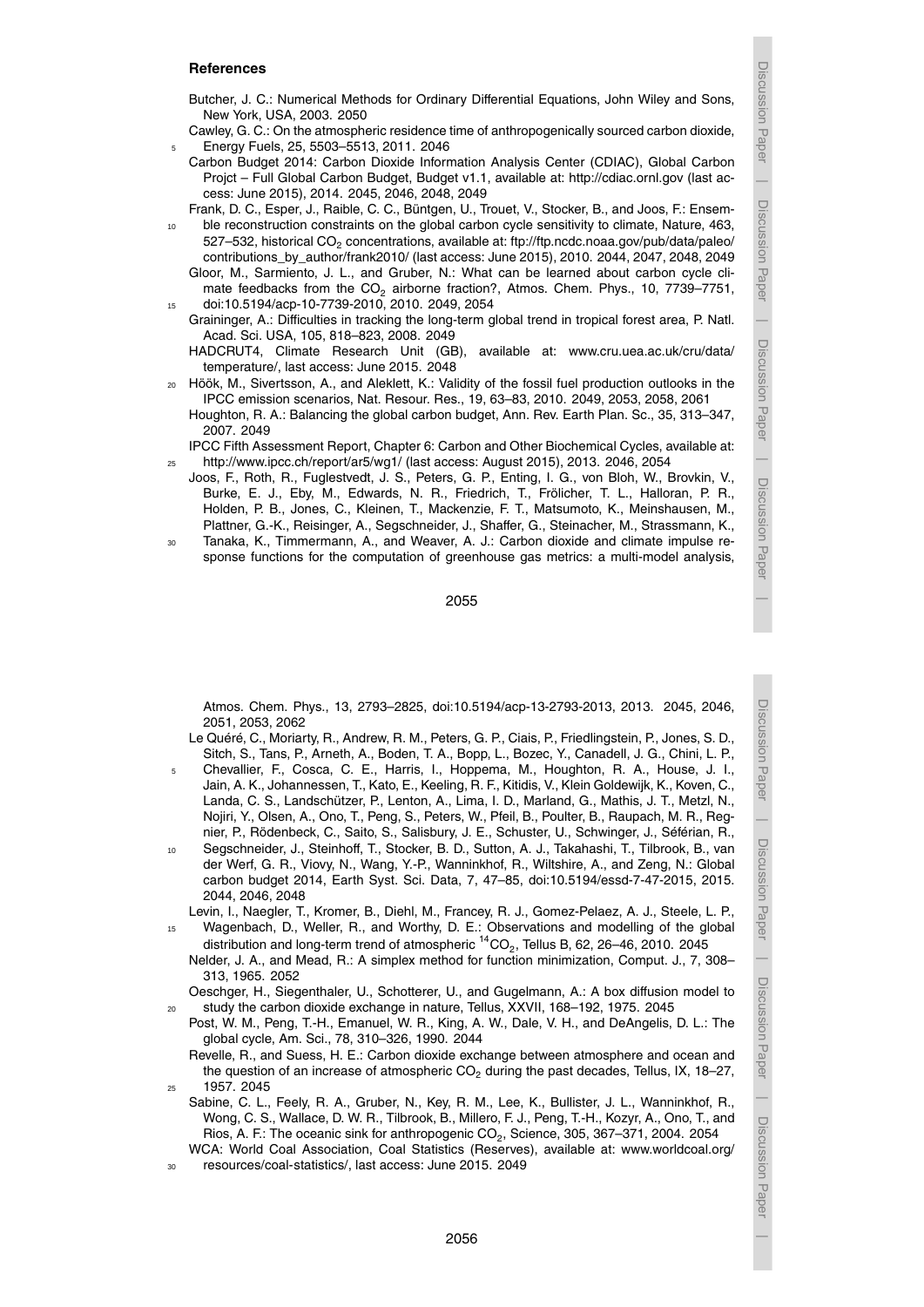Butcher, J. C.: Numerical Methods for Ordinary Differential Equations, John Wiley and Sons, New York, USA, 2003. 2050

Discussion Paper

Discussion Paper

 $\overline{\phantom{a}}$ 

Discussion Paper

Discussion

 $\overline{\phantom{a}}$ 

I Paper

Discussion Paper

Discussion Paper

 $\overline{\phantom{a}}$ 

Discussion Paper

Discussion Paper

 $\overline{\phantom{a}}$ 

Discussion Paper

Discussion

 $\overline{\phantom{a}}$ 

Paper

Discussion Paper

Discussion Paper

 $\overline{\phantom{a}}$ 

Discussion Paper

Discussion Paper

 $\overline{\phantom{a}}$ 

Discussion Paper

Discussion Paper

 $\overline{\phantom{a}}$ 

- Cawley, G. C.: On the atmospheric residence time of anthropogenically sourced carbon dioxide, <sup>5</sup> Energy Fuels, 25, 5503–5513, 2011. 2046
- Carbon Budget 2014: Carbon Dioxide Information Analysis Center (CDIAC), Global Carbon Projct – Full Global Carbon Budget, Budget v1.1, available at: http://cdiac.ornl.gov (last access: June 2015), 2014. 2045, 2046, 2048, 2049
- Frank, D. C., Esper, J., Raible, C. C., Büntgen, U., Trouet, V., Stocker, B., and Joos, F.: Ensem-
- ble reconstruction constraints on the global carbon cycle sensitivity to climate, Nature, 463, 527–532, historical CO<sub>2</sub> concentrations, available at: ftp://ftp.ncdc.noaa.gov/pub/data/paleo/ contributions\_by\_author/frank2010/ (last access: June 2015), 2010. 2044, 2047, 2048, 2049 Gloor, M., Sarmiento, J. L., and Gruber, N.: What can be learned about carbon cycle climate feedbacks from the  $CO<sub>2</sub>$  airborne fraction?, Atmos. Chem. Phys., 10, 7739-7751, <sup>15</sup> doi:10.5194/acp-10-7739-2010, 2010. 2049, 2054
- Graininger, A.: Difficulties in tracking the long-term global trend in tropical forest area, P. Natl. Acad. Sci. USA, 105, 818–823, 2008. 2049
- HADCRUT4, Climate Research Unit (GB), available at: www.cru.uea.ac.uk/cru/data/ temperature/, last access: June 2015. 2048
- Höök, M., Sivertsson, A., and Aleklett, K.: Validity of the fossil fuel production outlooks in the IPCC emission scenarios, Nat. Resour. Res., 19, 63–83, 2010. 2049, 2053, 2058, 2061 Houghton, R. A.: Balancing the global carbon budget, Ann. Rev. Earth Plan. Sc., 35, 313–347, 2007. 2049
- IPCC Fifth Assessment Report, Chapter 6: Carbon and Other Biochemical Cycles, available at: <sup>25</sup> http://www.ipcc.ch/report/ar5/wg1/ (last access: August 2015), 2013. 2046, 2054
- Joos, F., Roth, R., Fuglestvedt, J. S., Peters, G. P., Enting, I. G., von Bloh, W., Brovkin, V., Burke, E. J., Eby, M., Edwards, N. R., Friedrich, T., Frölicher, T. L., Halloran, P. R., Holden, P. B., Jones, C., Kleinen, T., Mackenzie, F. T., Matsumoto, K., Meinshausen, M., Plattner, G.-K., Reisinger, A., Segschneider, J., Shaffer, G., Steinacher, M., Strassmann, K.,
- <sup>30</sup> Tanaka, K., Timmermann, A., and Weaver, A. J.: Carbon dioxide and climate impulse response functions for the computation of greenhouse gas metrics: a multi-model analysis,

Atmos. Chem. Phys., 13, 2793–2825, doi:10.5194/acp-13-2793-2013, 2013. 2045, 2046, 2051, 2053, 2062

Le Quéré, C., Moriarty, R., Andrew, R. M., Peters, G. P., Ciais, P., Friedlingstein, P., Jones, S. D., Sitch, S., Tans, P., Arneth, A., Boden, T. A., Bopp, L., Bozec, Y., Canadell, J. G., Chini, L. P.,

- <sup>5</sup> Chevallier, F., Cosca, C. E., Harris, I., Hoppema, M., Houghton, R. A., House, J. I., Jain, A. K., Johannessen, T., Kato, E., Keeling, R. F., Kitidis, V., Klein Goldewijk, K., Koven, C., Landa, C. S., Landschützer, P., Lenton, A., Lima, I. D., Marland, G., Mathis, J. T., Metzl, N., Nojiri, Y., Olsen, A., Ono, T., Peng, S., Peters, W., Pfeil, B., Poulter, B., Raupach, M. R., Regnier, P., Rödenbeck, C., Saito, S., Salisbury, J. E., Schuster, U., Schwinger, J., Séférian, R.,
- <sup>10</sup> Segschneider, J., Steinhoff, T., Stocker, B. D., Sutton, A. J., Takahashi, T., Tilbrook, B., van der Werf, G. R., Viovy, N., Wang, Y.-P., Wanninkhof, R., Wiltshire, A., and Zeng, N.: Global carbon budget 2014, Earth Syst. Sci. Data, 7, 47–85, doi:10.5194/essd-7-47-2015, 2015. 2044, 2046, 2048

Levin, I., Naegler, T., Kromer, B., Diehl, M., Francey, R. J., Gomez-Pelaez, A. J., Steele, L. P., <sup>15</sup> Wagenbach, D., Weller, R., and Worthy, D. E.: Observations and modelling of the global

- distribution and long-term trend of atmospheric  ${}^{14}CO_2$ , Tellus B, 62, 26-46, 2010. 2045 Nelder, J. A., and Mead, R.: A simplex method for function minimization, Comput. J., 7, 308– 313, 1965. 2052
- Oeschger, H., Siegenthaler, U., Schotterer, U., and Gugelmann, A.: A box diffusion model to <sup>20</sup> study the carbon dioxide exchange in nature, Tellus, XXVII, 168–192, 1975. 2045

Post, W. M., Peng, T.-H., Emanuel, W. R., King, A. W., Dale, V. H., and DeAngelis, D. L.: The global cycle, Am. Sci., 78, 310–326, 1990. 2044

- Revelle, R., and Suess, H. E.: Carbon dioxide exchange between atmosphere and ocean and the question of an increase of atmospheric  $CO<sub>2</sub>$  during the past decades, Tellus, IX, 18–27, <sup>25</sup> 1957. 2045
- Sabine, C. L., Feely, R. A., Gruber, N., Key, R. M., Lee, K., Bullister, J. L., Wanninkhof, R., Wong, C. S., Wallace, D. W. R., Tilbrook, B., Millero, F. J., Peng, T.-H., Kozyr, A., Ono, T., and Rios, A. F.: The oceanic sink for anthropogenic  $CO<sub>2</sub>$ , Science, 305, 367-371, 2004. 2054 WCA: World Coal Association, Coal Statistics (Reserves), available at: www.worldcoal.org/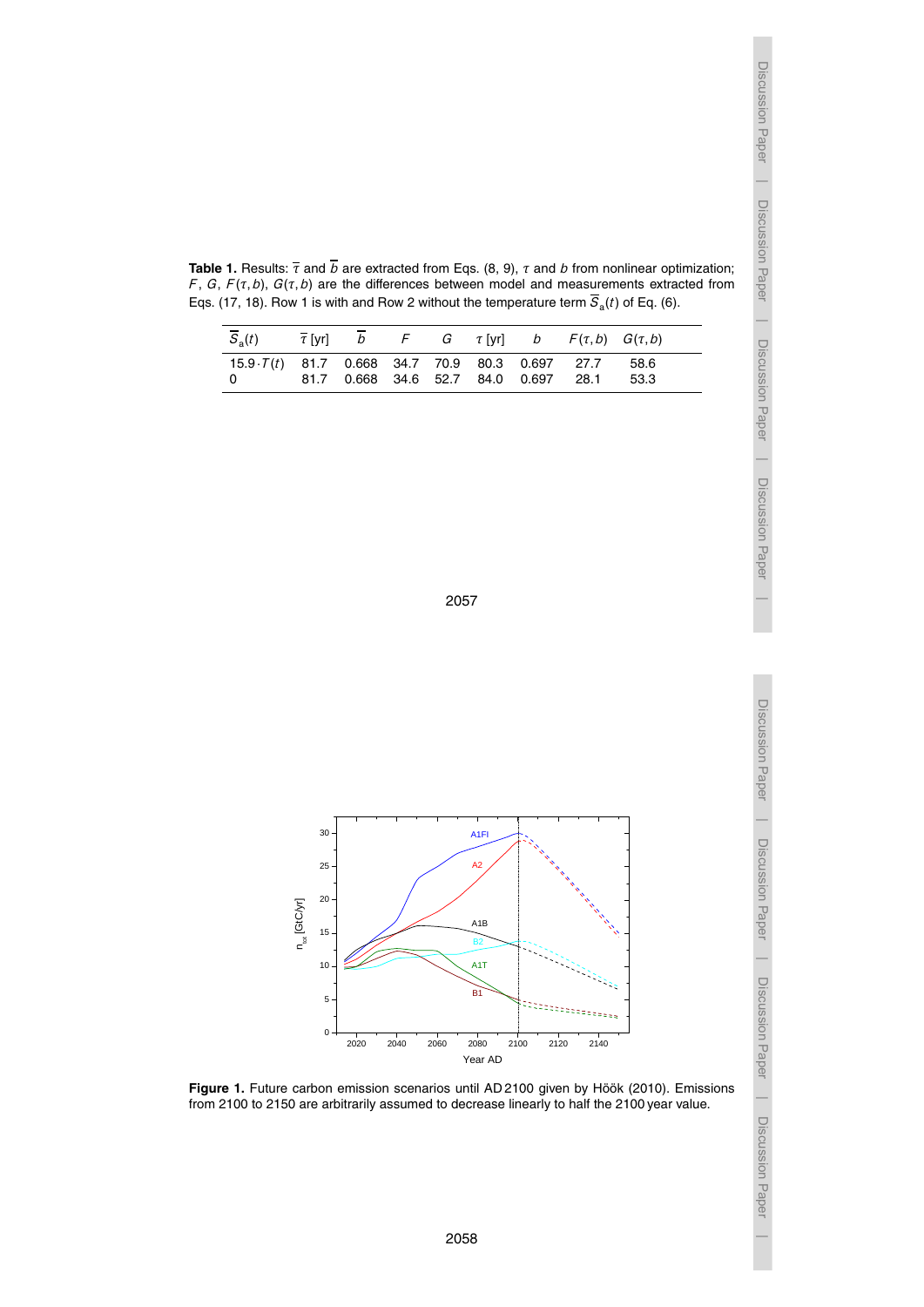$\overline{\phantom{a}}$ 

Discussion Paper

 $\overline{\phantom{a}}$ 

Discussion Paper

 $\overline{\phantom{a}}$ 

Discussion Paper

 $\overline{\phantom{a}}$ 

Discussion Paper

|  |  |  |  |  | <b>Table 1.</b> Results: $\overline{\tau}$ and b are extracted from Eqs. (8, 9), $\tau$ and b from nonlinear optimization;<br>F, G, $F(\tau, b)$ , $G(\tau, b)$ are the differences between model and measurements extracted from |  |
|--|--|--|--|--|-----------------------------------------------------------------------------------------------------------------------------------------------------------------------------------------------------------------------------------|--|
|  |  |  |  |  | Eqs. (17, 18). Row 1 is with and Row 2 without the temperature term $S_a(t)$ of Eq. (6).                                                                                                                                          |  |
|  |  |  |  |  |                                                                                                                                                                                                                                   |  |

| $S_a(t)$ $\overline{\tau}$ [yr] b F G $\tau$ [yr] b $F(\tau,b)$ $G(\tau,b)$ |  |  |  |                                           |  |
|-----------------------------------------------------------------------------|--|--|--|-------------------------------------------|--|
| $15.9 \cdot T(t)$ 81.7 0.668 34.7 70.9 80.3 0.697 27.7 58.6<br>റ            |  |  |  | 81.7 0.668 34.6 52.7 84.0 0.697 28.1 53.3 |  |
|                                                                             |  |  |  |                                           |  |





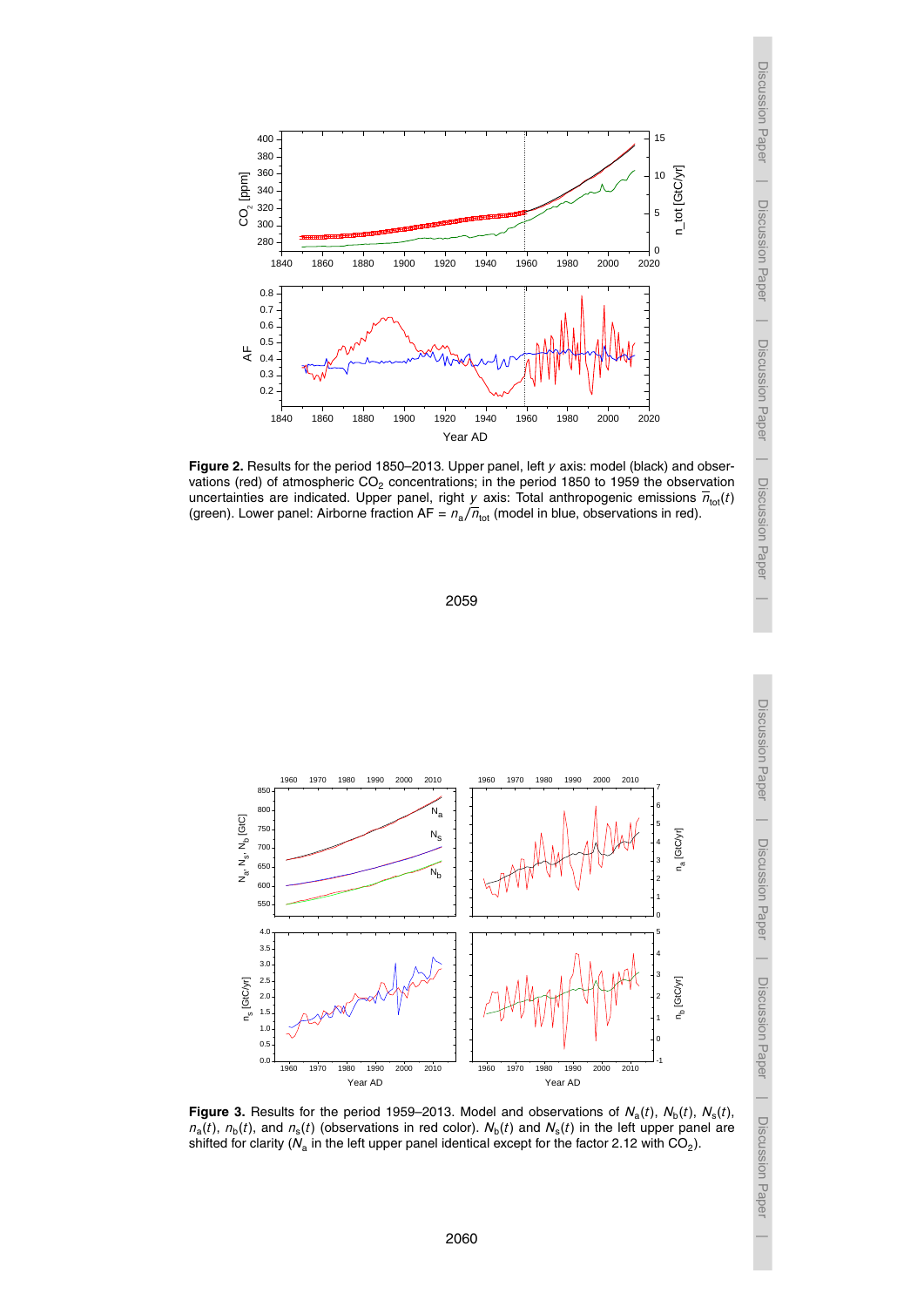

**Figure 2.** Results for the period 1850–2013. Upper panel, left *y* axis: model (black) and observations (red) of atmospheric CO<sub>2</sub> concentrations; in the period 1850 to 1959 the observation uncertainties are indicated. Upper panel, right *y* axis: Total anthropogenic emissions  $\overline{n}_{\text{tot}}(t)$ (green). Lower panel: Airborne fraction  $AF = n_a / \overline{n}_{tot}$  (model in blue, observations in red).

2059



**Figure 3.** Results for the period 1959–2013. Model and observations of  $N_a(t)$ ,  $N_b(t)$ ,  $N_s(t)$ ,  $n_a(t)$ ,  $n_b(t)$ , and  $n_s(t)$  (observations in red color).  $N_b(t)$  and  $N_s(t)$  in the left upper panel are shifted for clarity ( $N_{\rm a}$  in the left upper panel identical except for the factor 2.12 with CO<sub>2</sub>).

 $\overline{\phantom{a}}$ 

Discussion Paper

 $\overline{\phantom{a}}$ 

Discussion Paper

 $\overline{\phantom{a}}$ 

Discussion Paper

 $\overline{\phantom{a}}$ 

Discussion Paper

 $\overline{\phantom{a}}$ 

Discussion Paper